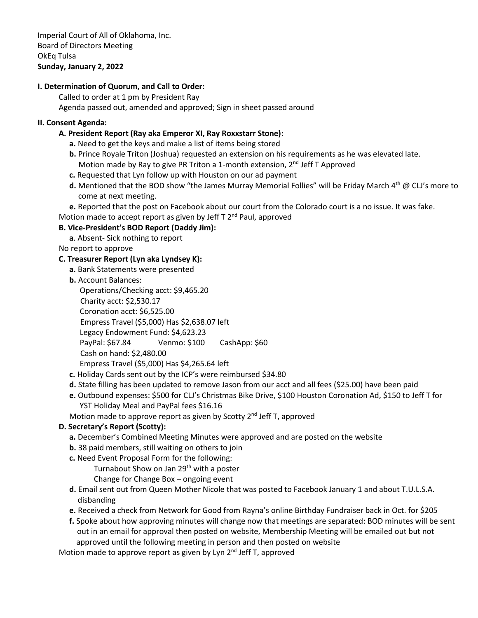Imperial Court of All of Oklahoma, Inc. Board of Directors Meeting OkEq Tulsa **Sunday, January 2, 2022**

## **I. Determination of Quorum, and Call to Order:**

Called to order at 1 pm by President Ray Agenda passed out, amended and approved; Sign in sheet passed around

### **II. Consent Agenda:**

### **A. President Report (Ray aka Emperor XI, Ray Roxxstarr Stone):**

- **a.** Need to get the keys and make a list of items being stored
- **b.** Prince Royale Triton (Joshua) requested an extension on his requirements as he was elevated late. Motion made by Ray to give PR Triton a 1-month extension, 2<sup>nd</sup> Jeff T Approved
- **c.** Requested that Lyn follow up with Houston on our ad payment
- **d.** Mentioned that the BOD show "the James Murray Memorial Follies" will be Friday March 4th @ CLJ's more to come at next meeting.

**e.** Reported that the post on Facebook about our court from the Colorado court is a no issue. It was fake.

Motion made to accept report as given by Jeff T 2<sup>nd</sup> Paul, approved

### **B. Vice-President's BOD Report (Daddy Jim):**

**a**. Absent- Sick nothing to report

No report to approve

### **C. Treasurer Report (Lyn aka Lyndsey K):**

- **a.** Bank Statements were presented
- **b.** Account Balances:

Operations/Checking acct: \$9,465.20

Charity acct: \$2,530.17

Coronation acct: \$6,525.00

Empress Travel (\$5,000) Has \$2,638.07 left

Legacy Endowment Fund: \$4,623.23

PayPal: \$67.84 Venmo: \$100 CashApp: \$60

Cash on hand: \$2,480.00

Empress Travel (\$5,000) Has \$4,265.64 left

- **c.** Holiday Cards sent out by the ICP's were reimbursed \$34.80
- **d.** State filling has been updated to remove Jason from our acct and all fees (\$25.00) have been paid
- **e.** Outbound expenses: \$500 for CLJ's Christmas Bike Drive, \$100 Houston Coronation Ad, \$150 to Jeff T for YST Holiday Meal and PayPal fees \$16.16

Motion made to approve report as given by Scotty  $2^{nd}$  Jeff T, approved

# **D. Secretary's Report (Scotty):**

- **a.** December's Combined Meeting Minutes were approved and are posted on the website
- **b.** 38 paid members, still waiting on others to join
- **c.** Need Event Proposal Form for the following:

Turnabout Show on Jan 29<sup>th</sup> with a poster

Change for Change Box – ongoing event

- **d.** Email sent out from Queen Mother Nicole that was posted to Facebook January 1 and about T.U.L.S.A. disbanding
- **e.** Received a check from Network for Good from Rayna's online Birthday Fundraiser back in Oct. for \$205
- **f.** Spoke about how approving minutes will change now that meetings are separated: BOD minutes will be sent out in an email for approval then posted on website, Membership Meeting will be emailed out but not approved until the following meeting in person and then posted on website

Motion made to approve report as given by Lyn 2<sup>nd</sup> Jeff T, approved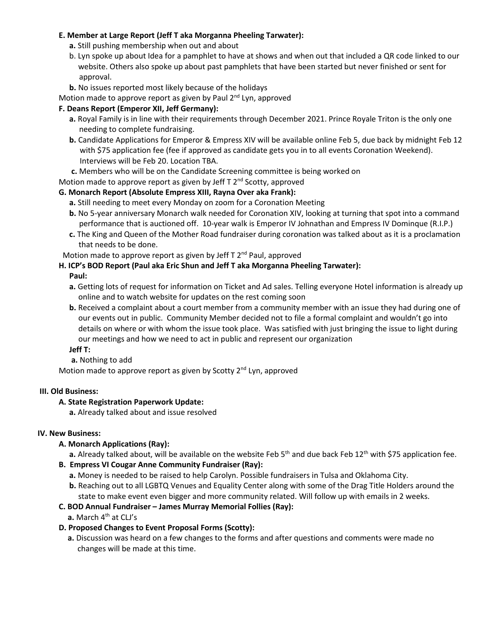# **E. Member at Large Report (Jeff T aka Morganna Pheeling Tarwater):**

- **a.** Still pushing membership when out and about
- b. Lyn spoke up about Idea for a pamphlet to have at shows and when out that included a QR code linked to our website. Others also spoke up about past pamphlets that have been started but never finished or sent for approval.
- **b.** No issues reported most likely because of the holidays

Motion made to approve report as given by Paul 2<sup>nd</sup> Lyn, approved

## **F. Deans Report (Emperor XII, Jeff Germany):**

- **a.** Royal Family is in line with their requirements through December 2021. Prince Royale Triton is the only one needing to complete fundraising.
- **b.** Candidate Applications for Emperor & Empress XIV will be available online Feb 5, due back by midnight Feb 12 with \$75 application fee (fee if approved as candidate gets you in to all events Coronation Weekend). Interviews will be Feb 20. Location TBA.
- **c.** Members who will be on the Candidate Screening committee is being worked on

Motion made to approve report as given by Jeff  $T 2<sup>nd</sup>$  Scotty, approved

### **G. Monarch Report (Absolute Empress XIII, Rayna Over aka Frank):**

- **a.** Still needing to meet every Monday on zoom for a Coronation Meeting
- **b.** No 5-year anniversary Monarch walk needed for Coronation XIV, looking at turning that spot into a command performance that is auctioned off. 10-year walk is Emperor IV Johnathan and Empress IV Dominque (R.I.P.)
- **c.** The King and Queen of the Mother Road fundraiser during coronation was talked about as it is a proclamation that needs to be done.

Motion made to approve report as given by Jeff  $T 2^{nd}$  Paul, approved

### **H. ICP's BOD Report (Paul aka Eric Shun and Jeff T aka Morganna Pheeling Tarwater):**

#### **Paul:**

- **a.** Getting lots of request for information on Ticket and Ad sales. Telling everyone Hotel information is already up online and to watch website for updates on the rest coming soon
- **b.** Received a complaint about a court member from a community member with an issue they had during one of our events out in public. Community Member decided not to file a formal complaint and wouldn't go into details on where or with whom the issue took place. Was satisfied with just bringing the issue to light during our meetings and how we need to act in public and represent our organization

#### **Jeff T:**

**a.** Nothing to add

Motion made to approve report as given by Scotty  $2^{nd}$  Lyn, approved

#### **III. Old Business:**

#### **A. State Registration Paperwork Update:**

**a.** Already talked about and issue resolved

#### **IV. New Business:**

# **A. Monarch Applications (Ray):**

a. Already talked about, will be available on the website Feb 5<sup>th</sup> and due back Feb 12<sup>th</sup> with \$75 application fee.

#### **B. Empress VI Cougar Anne Community Fundraiser (Ray):**

- **a.** Money is needed to be raised to help Carolyn. Possible fundraisers in Tulsa and Oklahoma City.
- **b.** Reaching out to all LGBTQ Venues and Equality Center along with some of the Drag Title Holders around the state to make event even bigger and more community related. Will follow up with emails in 2 weeks.

# **C. BOD Annual Fundraiser – James Murray Memorial Follies (Ray):**

**a.** March 4<sup>th</sup> at CLJ's

# **D. Proposed Changes to Event Proposal Forms (Scotty):**

**a.** Discussion was heard on a few changes to the forms and after questions and comments were made no changes will be made at this time.